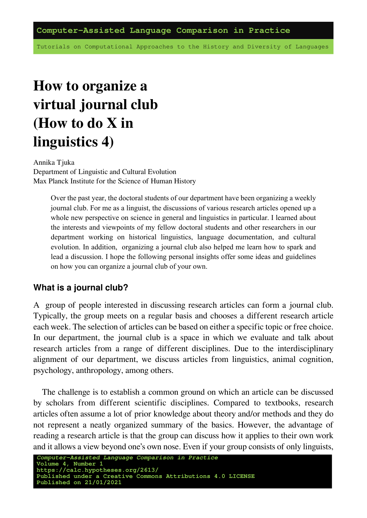Tutorials on Computational Approaches to the History and Diversity of Languages

# **How to organize a virtual journal club (How to do X in linguistics 4)**

Annika Tjuka Department of Linguistic and Cultural Evolution Max Planck Institute for the Science of Human History

> Over the past year, the doctoral students of our department have been organizing a weekly journal club. For me as a linguist, the discussions of various research articles opened up a whole new perspective on science in general and linguistics in particular. I learned about the interests and viewpoints of my fellow doctoral students and other researchers in our department working on historical linguistics, language documentation, and cultural evolution. In addition, organizing a journal club also helped me learn how to spark and lead a discussion. I hope the following personal insights offer some ideas and guidelines on how you can organize a journal club of your own.

#### **What is a journal club?**

A group of people interested in discussing research articles can form a journal club. Typically, the group meets on a regular basis and chooses a different research article each week. The selection of articles can be based on either a specific topic or free choice. In our department, the journal club is a space in which we evaluate and talk about research articles from a range of different disciplines. Due to the interdisciplinary alignment of our department, we discuss articles from linguistics, animal cognition, psychology, anthropology, among others.

The challenge is to establish a common ground on which an article can be discussed by scholars from different scientific disciplines. Compared to textbooks, research articles often assume a lot of prior knowledge about theory and/or methods and they do not represent a neatly organized summary of the basics. However, the advantage of reading a research article is that the group can discuss how it applies to their own work and it allows a view beyond one's own nose. Even if your group consists of only linguists,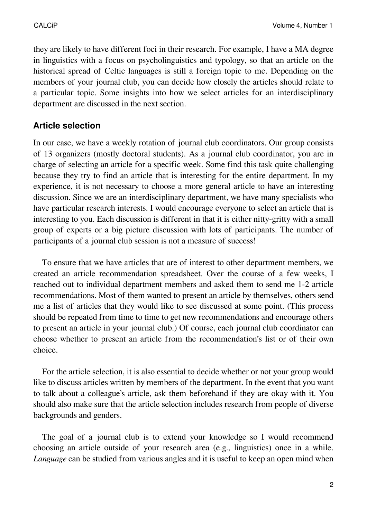they are likely to have different foci in their research. For example, I have a MA degree in linguistics with a focus on psycholinguistics and typology, so that an article on the historical spread of Celtic languages is still a foreign topic to me. Depending on the members of your journal club, you can decide how closely the articles should relate to a particular topic. Some insights into how we select articles for an interdisciplinary department are discussed in the next section.

#### **Article selection**

In our case, we have a weekly rotation of journal club coordinators. Our group consists of 13 organizers (mostly doctoral students). As a journal club coordinator, you are in charge of selecting an article for a specific week. Some find this task quite challenging because they try to find an article that is interesting for the entire department. In my experience, it is not necessary to choose a more general article to have an interesting discussion. Since we are an interdisciplinary department, we have many specialists who have particular research interests. I would encourage everyone to select an article that is interesting to you. Each discussion is different in that it is either nitty-gritty with a small group of experts or a big picture discussion with lots of participants. The number of participants of a journal club session is not a measure of success!

To ensure that we have articles that are of interest to other department members, we created an article recommendation spreadsheet. Over the course of a few weeks, I reached out to individual department members and asked them to send me 1-2 article recommendations. Most of them wanted to present an article by themselves, others send me a list of articles that they would like to see discussed at some point. (This process should be repeated from time to time to get new recommendations and encourage others to present an article in your journal club.) Of course, each journal club coordinator can choose whether to present an article from the recommendation's list or of their own choice.

For the article selection, it is also essential to decide whether or not your group would like to discuss articles written by members of the department. In the event that you want to talk about a colleague's article, ask them beforehand if they are okay with it. You should also make sure that the article selection includes research from people of diverse backgrounds and genders.

The goal of a journal club is to extend your knowledge so I would recommend choosing an article outside of your research area (e.g., linguistics) once in a while. *Language* can be studied from various angles and it is useful to keep an open mind when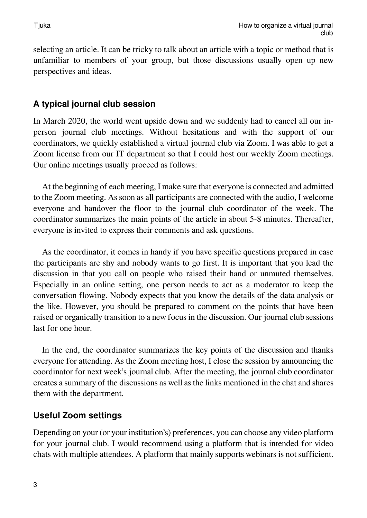selecting an article. It can be tricky to talk about an article with a topic or method that is unfamiliar to members of your group, but those discussions usually open up new perspectives and ideas.

#### **A typical journal club session**

In March 2020, the world went upside down and we suddenly had to cancel all our inperson journal club meetings. Without hesitations and with the support of our coordinators, we quickly established a virtual journal club via Zoom. I was able to get a Zoom license from our IT department so that I could host our weekly Zoom meetings. Our online meetings usually proceed as follows:

At the beginning of each meeting, I make sure that everyone is connected and admitted to the Zoom meeting. As soon as all participants are connected with the audio, I welcome everyone and handover the floor to the journal club coordinator of the week. The coordinator summarizes the main points of the article in about 5-8 minutes. Thereafter, everyone is invited to express their comments and ask questions.

As the coordinator, it comes in handy if you have specific questions prepared in case the participants are shy and nobody wants to go first. It is important that you lead the discussion in that you call on people who raised their hand or unmuted themselves. Especially in an online setting, one person needs to act as a moderator to keep the conversation flowing. Nobody expects that you know the details of the data analysis or the like. However, you should be prepared to comment on the points that have been raised or organically transition to a new focus in the discussion. Our journal club sessions last for one hour.

In the end, the coordinator summarizes the key points of the discussion and thanks everyone for attending. As the Zoom meeting host, I close the session by announcing the coordinator for next week's journal club. After the meeting, the journal club coordinator creates a summary of the discussions as well as the links mentioned in the chat and shares them with the department.

#### **Useful Zoom settings**

Depending on your (or your institution's) preferences, you can choose any video platform for your journal club. I would recommend using a platform that is intended for video chats with multiple attendees. A platform that mainly supports webinars is not sufficient.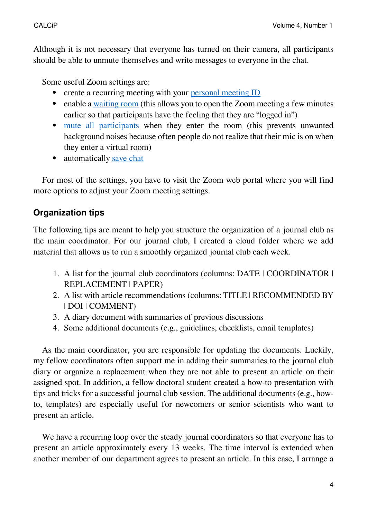Although it is not necessary that everyone has turned on their camera, all participants should be able to unmute themselves and write messages to everyone in the chat.

Some useful Zoom settings are:

- create a recurring meeting with your [personal meeting ID](https://support.zoom.us/hc/en-us/articles/201362843-Personal-meeting-ID-PMI-and-personal-link)
- enable a [waiting room](https://support.zoom.us/hc/en-us/articles/360022174112-Using-a-Waiting-Room-with-Zoom-Rooms) (this allows you to open the Zoom meeting a few minutes earlier so that participants have the feeling that they are "logged in")
- [mute all participants](https://support.zoom.us/hc/en-us/articles/115005759423-Managing-participants-in-a-meeting) when they enter the room (this prevents unwanted background noises because often people do not realize that their mic is on when they enter a virtual room)
- automatically [save chat](https://support.zoom.us/hc/en-us/articles/115005516426-Storing-and-viewing-chat-message-history)

For most of the settings, you have to visit the Zoom web portal where you will find more options to adjust your Zoom meeting settings.

# **Organization tips**

The following tips are meant to help you structure the organization of a journal club as the main coordinator. For our journal club, I created a cloud folder where we add material that allows us to run a smoothly organized journal club each week.

- 1. A list for the journal club coordinators (columns: DATE | COORDINATOR | REPLACEMENT | PAPER)
- 2. A list with article recommendations (columns: TITLE | RECOMMENDED BY | DOI | COMMENT)
- 3. A diary document with summaries of previous discussions
- 4. Some additional documents (e.g., guidelines, checklists, email templates)

As the main coordinator, you are responsible for updating the documents. Luckily, my fellow coordinators often support me in adding their summaries to the journal club diary or organize a replacement when they are not able to present an article on their assigned spot. In addition, a fellow doctoral student created a how-to presentation with tips and tricks for a successful journal club session. The additional documents (e.g., howto, templates) are especially useful for newcomers or senior scientists who want to present an article.

We have a recurring loop over the steady journal coordinators so that everyone has to present an article approximately every 13 weeks. The time interval is extended when another member of our department agrees to present an article. In this case, I arrange a